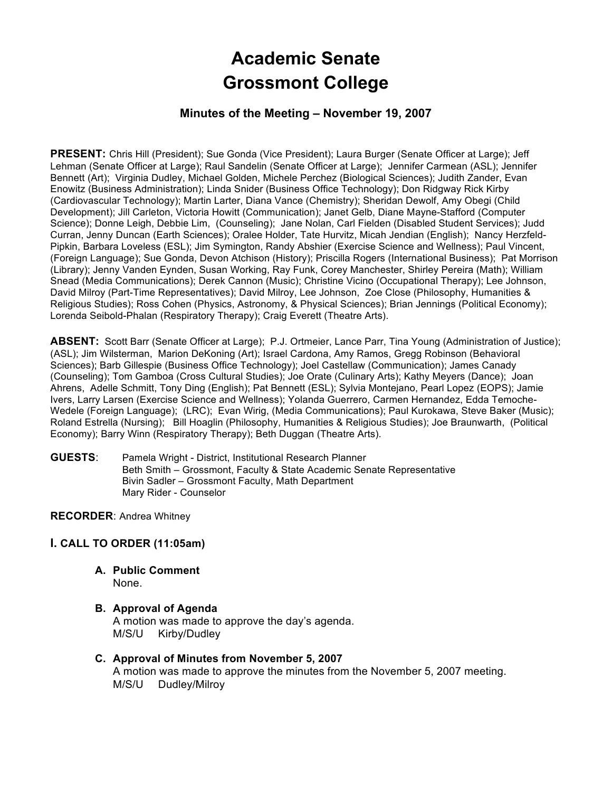# **Academic Senate** **Grossmont College**

# **Minutes of the Meeting – November 19, 2007**

**PRESENT:** Chris Hill (President); Sue Gonda (Vice President); Laura Burger (Senate Officer at Large); Jeff Lehman (Senate Officer at Large); Raul Sandelin (Senate Officer at Large); Jennifer Carmean (ASL); Jennifer Bennett (Art); Virginia Dudley, Michael Golden, Michele Perchez (Biological Sciences); Judith Zander, Evan Enowitz (Business Administration); Linda Snider (Business Office Technology); Don Ridgway Rick Kirby (Cardiovascular Technology); Martin Larter, Diana Vance (Chemistry); Sheridan Dewolf, Amy Obegi (Child Development); Jill Carleton, Victoria Howitt (Communication); Janet Gelb, Diane Mayne-Stafford (Computer Science); Donne Leigh, Debbie Lim, (Counseling); Jane Nolan, Carl Fielden (Disabled Student Services); Judd Curran, Jenny Duncan (Earth Sciences); Oralee Holder, Tate Hurvitz, Micah Jendian (English); Nancy Herzfeld-Pipkin, Barbara Loveless (ESL); Jim Symington, Randy Abshier (Exercise Science and Wellness); Paul Vincent, (Foreign Language); Sue Gonda, Devon Atchison (History); Priscilla Rogers (International Business); Pat Morrison (Library); Jenny Vanden Eynden, Susan Working, Ray Funk, Corey Manchester, Shirley Pereira (Math); William Snead (Media Communications); Derek Cannon (Music); Christine Vicino (Occupational Therapy); Lee Johnson, David Milroy (Part-Time Representatives); David Milroy, Lee Johnson, Zoe Close (Philosophy, Humanities & Religious Studies); Ross Cohen (Physics, Astronomy, & Physical Sciences); Brian Jennings (Political Economy); Lorenda Seibold-Phalan (Respiratory Therapy); Craig Everett (Theatre Arts).

**ABSENT:** Scott Barr (Senate Officer at Large); P.J. Ortmeier, Lance Parr, Tina Young (Administration of Justice); (ASL); Jim Wilsterman, Marion DeKoning (Art); Israel Cardona, Amy Ramos, Gregg Robinson (Behavioral Sciences); Barb Gillespie (Business Office Technology); Joel Castellaw (Communication); James Canady (Counseling); Tom Gamboa (Cross Cultural Studies); Joe Orate (Culinary Arts); Kathy Meyers (Dance); Joan Ahrens, Adelle Schmitt, Tony Ding (English); Pat Bennett (ESL); Sylvia Montejano, Pearl Lopez (EOPS); Jamie Ivers, Larry Larsen (Exercise Science and Wellness); Yolanda Guerrero, Carmen Hernandez, Edda Temoche-Wedele (Foreign Language); (LRC); Evan Wirig, (Media Communications); Paul Kurokawa, Steve Baker (Music); Roland Estrella (Nursing); Bill Hoaglin (Philosophy, Humanities & Religious Studies); Joe Braunwarth, (Political Economy); Barry Winn (Respiratory Therapy); Beth Duggan (Theatre Arts).

**GUESTS**: Pamela Wright - District, Institutional Research Planner Beth Smith – Grossmont, Faculty & State Academic Senate Representative Bivin Sadler – Grossmont Faculty, Math Department Mary Rider - Counselor

## **RECORDER**: Andrea Whitney

## **I. CALL TO ORDER (11:05am)**

- **A. Public Comment** None.
- **B. Approval of Agenda** A motion was made to approve the day's agenda. M/S/U Kirby/Dudley
- **C. Approval of Minutes from November 5, 2007** A motion was made to approve the minutes from the November 5, 2007 meeting. M/S/U Dudley/Milroy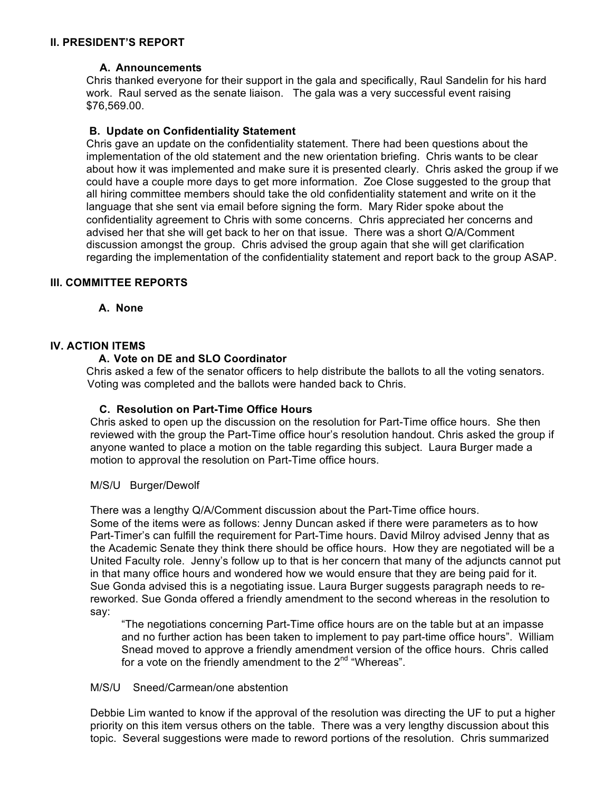## **II. PRESIDENT'S REPORT**

## **A. Announcements**

Chris thanked everyone for their support in the gala and specifically, Raul Sandelin for his hard work. Raul served as the senate liaison. The gala was a very successful event raising \$76,569.00.

## **B. Update on Confidentiality Statement**

Chris gave an update on the confidentiality statement. There had been questions about the implementation of the old statement and the new orientation briefing. Chris wants to be clear about how it was implemented and make sure it is presented clearly. Chris asked the group if we could have a couple more days to get more information. Zoe Close suggested to the group that all hiring committee members should take the old confidentiality statement and write on it the language that she sent via email before signing the form. Mary Rider spoke about the confidentiality agreement to Chris with some concerns. Chris appreciated her concerns and advised her that she will get back to her on that issue. There was a short Q/A/Comment discussion amongst the group. Chris advised the group again that she will get clarification regarding the implementation of the confidentiality statement and report back to the group ASAP.

## **III. COMMITTEE REPORTS**

**A. None**

# **IV. ACTION ITEMS**

## **A. Vote on DE and SLO Coordinator**

Chris asked a few of the senator officers to help distribute the ballots to all the voting senators. Voting was completed and the ballots were handed back to Chris.

# **C. Resolution on Part-Time Office Hours**

Chris asked to open up the discussion on the resolution for Part-Time office hours. She then reviewed with the group the Part-Time office hour's resolution handout. Chris asked the group if anyone wanted to place a motion on the table regarding this subject. Laura Burger made a motion to approval the resolution on Part-Time office hours.

## M/S/U Burger/Dewolf

There was a lengthy Q/A/Comment discussion about the Part-Time office hours. Some of the items were as follows: Jenny Duncan asked if there were parameters as to how Part-Timer's can fulfill the requirement for Part-Time hours. David Milroy advised Jenny that as the Academic Senate they think there should be office hours. How they are negotiated will be a United Faculty role. Jenny's follow up to that is her concern that many of the adjuncts cannot put in that many office hours and wondered how we would ensure that they are being paid for it. Sue Gonda advised this is a negotiating issue. Laura Burger suggests paragraph needs to rereworked. Sue Gonda offered a friendly amendment to the second whereas in the resolution to say:

"The negotiations concerning Part-Time office hours are on the table but at an impasse and no further action has been taken to implement to pay part-time office hours". William Snead moved to approve a friendly amendment version of the office hours. Chris called for a vote on the friendly amendment to the  $2^{nd}$  "Whereas".

## M/S/U Sneed/Carmean/one abstention

Debbie Lim wanted to know if the approval of the resolution was directing the UF to put a higher priority on this item versus others on the table. There was a very lengthy discussion about this topic. Several suggestions were made to reword portions of the resolution. Chris summarized